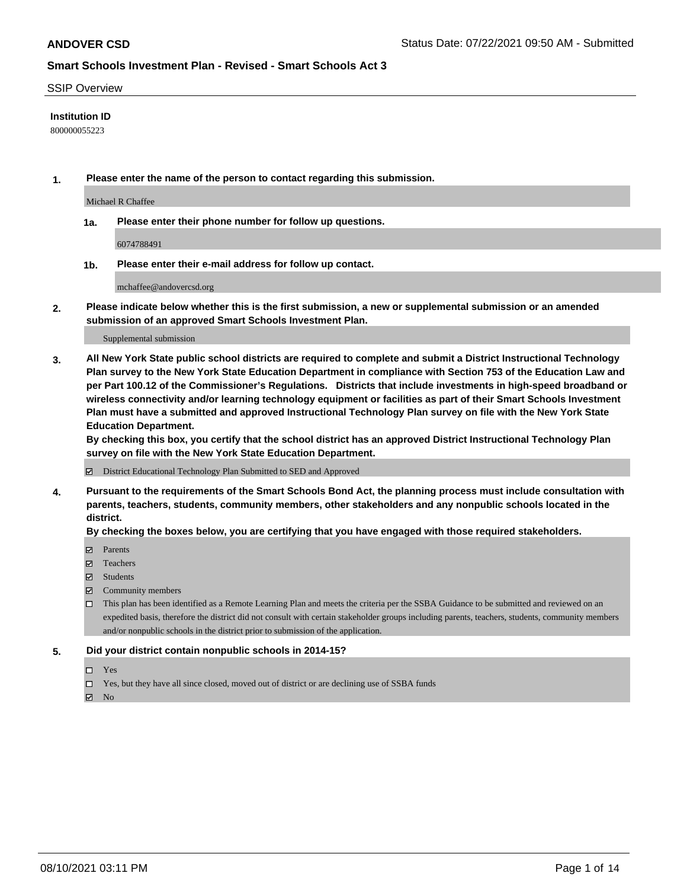#### SSIP Overview

### **Institution ID**

800000055223

**1. Please enter the name of the person to contact regarding this submission.**

Michael R Chaffee

**1a. Please enter their phone number for follow up questions.**

6074788491

**1b. Please enter their e-mail address for follow up contact.**

mchaffee@andovercsd.org

**2. Please indicate below whether this is the first submission, a new or supplemental submission or an amended submission of an approved Smart Schools Investment Plan.**

#### Supplemental submission

**3. All New York State public school districts are required to complete and submit a District Instructional Technology Plan survey to the New York State Education Department in compliance with Section 753 of the Education Law and per Part 100.12 of the Commissioner's Regulations. Districts that include investments in high-speed broadband or wireless connectivity and/or learning technology equipment or facilities as part of their Smart Schools Investment Plan must have a submitted and approved Instructional Technology Plan survey on file with the New York State Education Department.** 

**By checking this box, you certify that the school district has an approved District Instructional Technology Plan survey on file with the New York State Education Department.**

District Educational Technology Plan Submitted to SED and Approved

**4. Pursuant to the requirements of the Smart Schools Bond Act, the planning process must include consultation with parents, teachers, students, community members, other stakeholders and any nonpublic schools located in the district.** 

### **By checking the boxes below, you are certifying that you have engaged with those required stakeholders.**

- **Parents**
- Teachers
- Students
- $\boxtimes$  Community members
- This plan has been identified as a Remote Learning Plan and meets the criteria per the SSBA Guidance to be submitted and reviewed on an expedited basis, therefore the district did not consult with certain stakeholder groups including parents, teachers, students, community members and/or nonpublic schools in the district prior to submission of the application.
- **5. Did your district contain nonpublic schools in 2014-15?**
	- □ Yes
	- □ Yes, but they have all since closed, moved out of district or are declining use of SSBA funds

 $M$  No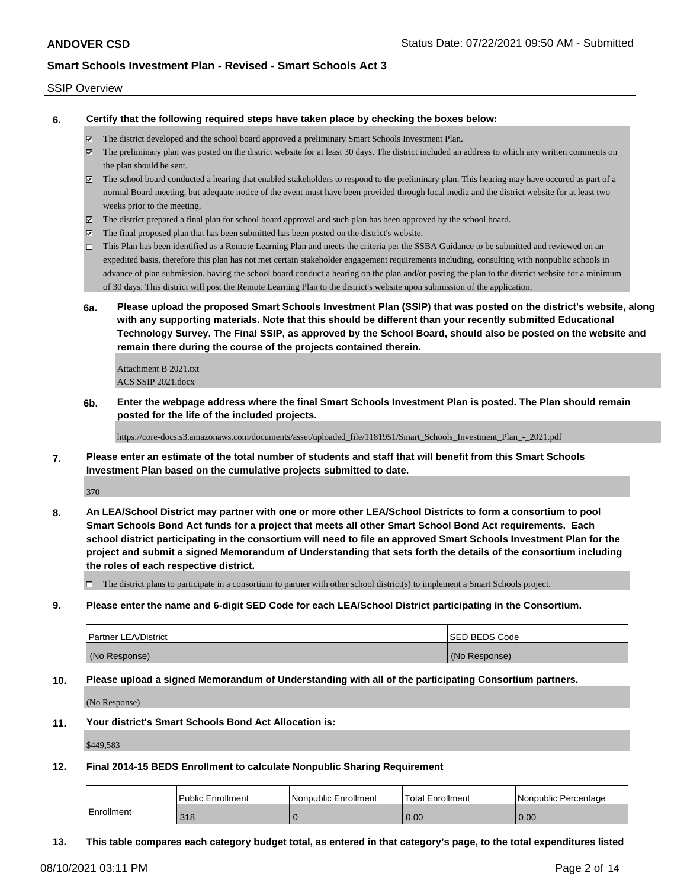#### SSIP Overview

**6. Certify that the following required steps have taken place by checking the boxes below:**

- The district developed and the school board approved a preliminary Smart Schools Investment Plan.
- The preliminary plan was posted on the district website for at least 30 days. The district included an address to which any written comments on the plan should be sent.
- $\boxtimes$  The school board conducted a hearing that enabled stakeholders to respond to the preliminary plan. This hearing may have occured as part of a normal Board meeting, but adequate notice of the event must have been provided through local media and the district website for at least two weeks prior to the meeting.
- The district prepared a final plan for school board approval and such plan has been approved by the school board.
- $\boxtimes$  The final proposed plan that has been submitted has been posted on the district's website.
- This Plan has been identified as a Remote Learning Plan and meets the criteria per the SSBA Guidance to be submitted and reviewed on an expedited basis, therefore this plan has not met certain stakeholder engagement requirements including, consulting with nonpublic schools in advance of plan submission, having the school board conduct a hearing on the plan and/or posting the plan to the district website for a minimum of 30 days. This district will post the Remote Learning Plan to the district's website upon submission of the application.
- **6a. Please upload the proposed Smart Schools Investment Plan (SSIP) that was posted on the district's website, along with any supporting materials. Note that this should be different than your recently submitted Educational Technology Survey. The Final SSIP, as approved by the School Board, should also be posted on the website and remain there during the course of the projects contained therein.**

Attachment B 2021.txt ACS SSIP 2021.docx

**6b. Enter the webpage address where the final Smart Schools Investment Plan is posted. The Plan should remain posted for the life of the included projects.**

https://core-docs.s3.amazonaws.com/documents/asset/uploaded\_file/1181951/Smart\_Schools\_Investment\_Plan\_-\_2021.pdf

**7. Please enter an estimate of the total number of students and staff that will benefit from this Smart Schools Investment Plan based on the cumulative projects submitted to date.**

370

**8. An LEA/School District may partner with one or more other LEA/School Districts to form a consortium to pool Smart Schools Bond Act funds for a project that meets all other Smart School Bond Act requirements. Each school district participating in the consortium will need to file an approved Smart Schools Investment Plan for the project and submit a signed Memorandum of Understanding that sets forth the details of the consortium including the roles of each respective district.**

 $\Box$  The district plans to participate in a consortium to partner with other school district(s) to implement a Smart Schools project.

**9. Please enter the name and 6-digit SED Code for each LEA/School District participating in the Consortium.**

| <b>Partner LEA/District</b> | <b>ISED BEDS Code</b> |
|-----------------------------|-----------------------|
| (No Response)               | (No Response)         |

**10. Please upload a signed Memorandum of Understanding with all of the participating Consortium partners.**

(No Response)

**11. Your district's Smart Schools Bond Act Allocation is:**

\$449,583

**12. Final 2014-15 BEDS Enrollment to calculate Nonpublic Sharing Requirement**

|            | Public Enrollment | Nonpublic Enrollment | <b>Total Enrollment</b> | Nonpublic Percentage |
|------------|-------------------|----------------------|-------------------------|----------------------|
| Enrollment | 318               |                      | 0.00                    | 0.00                 |

**13. This table compares each category budget total, as entered in that category's page, to the total expenditures listed**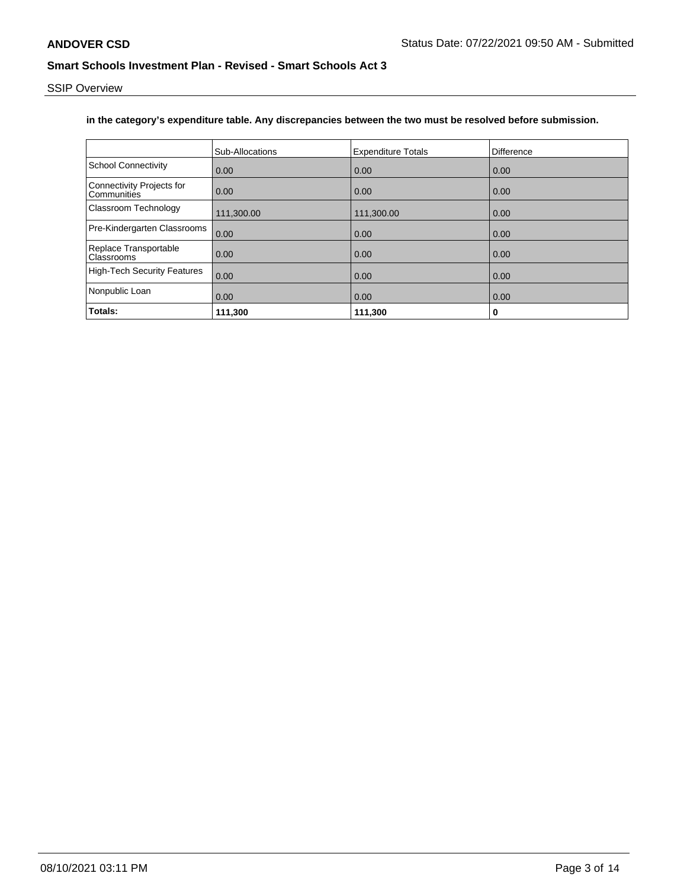SSIP Overview

# **in the category's expenditure table. Any discrepancies between the two must be resolved before submission.**

|                                                 | Sub-Allocations | <b>Expenditure Totals</b> | <b>Difference</b> |
|-------------------------------------------------|-----------------|---------------------------|-------------------|
| <b>School Connectivity</b>                      | 0.00            | 0.00                      | 0.00              |
| <b>Connectivity Projects for</b><br>Communities | 0.00            | 0.00                      | 0.00              |
| <b>Classroom Technology</b>                     | 111,300.00      | 111,300.00                | 0.00              |
| Pre-Kindergarten Classrooms                     | 0.00            | 0.00                      | 0.00              |
| Replace Transportable<br><b>Classrooms</b>      | 0.00            | 0.00                      | 0.00              |
| High-Tech Security Features                     | 0.00            | 0.00                      | 0.00              |
| Nonpublic Loan                                  | 0.00            | 0.00                      | 0.00              |
| Totals:                                         | 111,300         | 111,300                   | 0                 |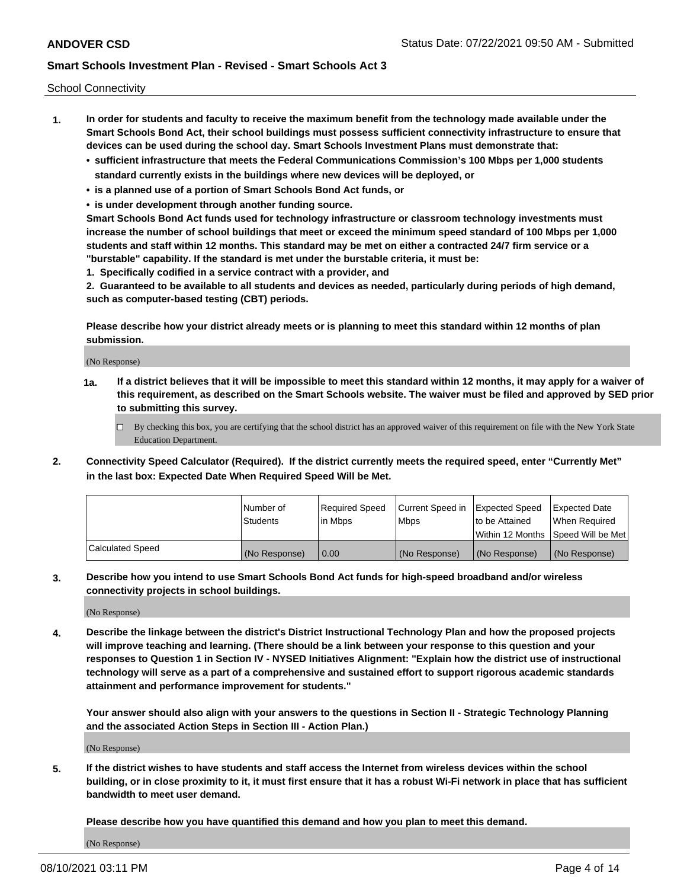School Connectivity

- **1. In order for students and faculty to receive the maximum benefit from the technology made available under the Smart Schools Bond Act, their school buildings must possess sufficient connectivity infrastructure to ensure that devices can be used during the school day. Smart Schools Investment Plans must demonstrate that:**
	- **• sufficient infrastructure that meets the Federal Communications Commission's 100 Mbps per 1,000 students standard currently exists in the buildings where new devices will be deployed, or**
	- **• is a planned use of a portion of Smart Schools Bond Act funds, or**
	- **• is under development through another funding source.**

**Smart Schools Bond Act funds used for technology infrastructure or classroom technology investments must increase the number of school buildings that meet or exceed the minimum speed standard of 100 Mbps per 1,000 students and staff within 12 months. This standard may be met on either a contracted 24/7 firm service or a "burstable" capability. If the standard is met under the burstable criteria, it must be:**

**1. Specifically codified in a service contract with a provider, and**

**2. Guaranteed to be available to all students and devices as needed, particularly during periods of high demand, such as computer-based testing (CBT) periods.**

**Please describe how your district already meets or is planning to meet this standard within 12 months of plan submission.**

(No Response)

**1a. If a district believes that it will be impossible to meet this standard within 12 months, it may apply for a waiver of this requirement, as described on the Smart Schools website. The waiver must be filed and approved by SED prior to submitting this survey.**

 $\Box$  By checking this box, you are certifying that the school district has an approved waiver of this requirement on file with the New York State Education Department.

**2. Connectivity Speed Calculator (Required). If the district currently meets the required speed, enter "Currently Met" in the last box: Expected Date When Required Speed Will be Met.**

|                  | l Number of     | Required Speed | Current Speed in | Expected Speed  | Expected Date                           |
|------------------|-----------------|----------------|------------------|-----------------|-----------------------------------------|
|                  | <b>Students</b> | In Mbps        | l Mbps           | to be Attained  | When Required                           |
|                  |                 |                |                  |                 | l Within 12 Months ISpeed Will be Met l |
| Calculated Speed | (No Response)   | 0.00           | (No Response)    | l (No Response) | l (No Response)                         |

**3. Describe how you intend to use Smart Schools Bond Act funds for high-speed broadband and/or wireless connectivity projects in school buildings.**

(No Response)

**4. Describe the linkage between the district's District Instructional Technology Plan and how the proposed projects will improve teaching and learning. (There should be a link between your response to this question and your responses to Question 1 in Section IV - NYSED Initiatives Alignment: "Explain how the district use of instructional technology will serve as a part of a comprehensive and sustained effort to support rigorous academic standards attainment and performance improvement for students."** 

**Your answer should also align with your answers to the questions in Section II - Strategic Technology Planning and the associated Action Steps in Section III - Action Plan.)**

(No Response)

**5. If the district wishes to have students and staff access the Internet from wireless devices within the school building, or in close proximity to it, it must first ensure that it has a robust Wi-Fi network in place that has sufficient bandwidth to meet user demand.**

**Please describe how you have quantified this demand and how you plan to meet this demand.**

(No Response)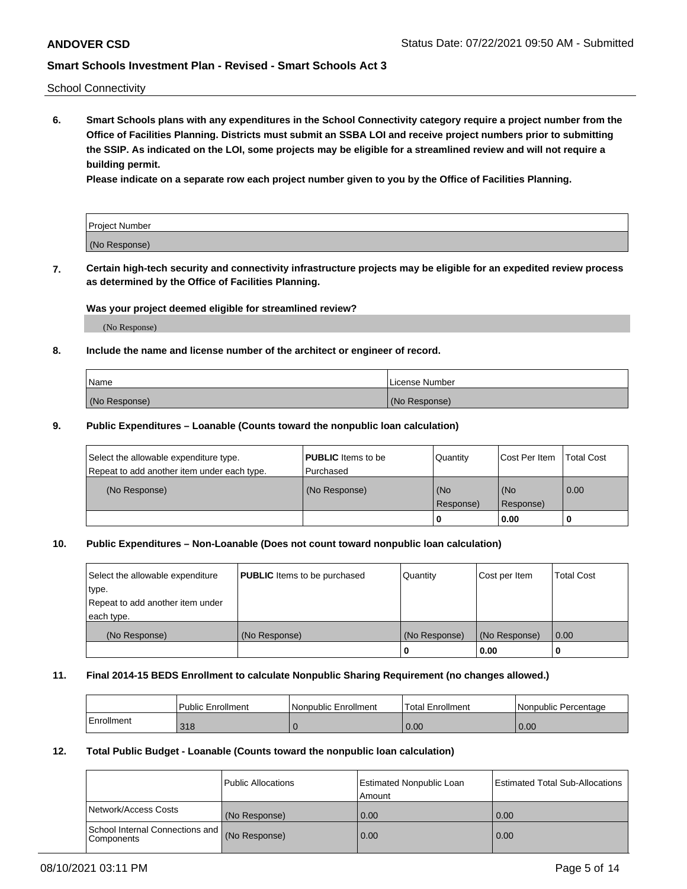School Connectivity

**6. Smart Schools plans with any expenditures in the School Connectivity category require a project number from the Office of Facilities Planning. Districts must submit an SSBA LOI and receive project numbers prior to submitting the SSIP. As indicated on the LOI, some projects may be eligible for a streamlined review and will not require a building permit.**

**Please indicate on a separate row each project number given to you by the Office of Facilities Planning.**

| Project Number |  |
|----------------|--|
| (No Response)  |  |

**7. Certain high-tech security and connectivity infrastructure projects may be eligible for an expedited review process as determined by the Office of Facilities Planning.**

### **Was your project deemed eligible for streamlined review?**

(No Response)

### **8. Include the name and license number of the architect or engineer of record.**

| Name          | License Number |
|---------------|----------------|
| (No Response) | (No Response)  |

### **9. Public Expenditures – Loanable (Counts toward the nonpublic loan calculation)**

| Select the allowable expenditure type.<br>Repeat to add another item under each type. | <b>PUBLIC</b> Items to be<br>l Purchased | Quantity         | l Cost Per Item  | <b>Total Cost</b> |
|---------------------------------------------------------------------------------------|------------------------------------------|------------------|------------------|-------------------|
| (No Response)                                                                         | (No Response)                            | (No<br>Response) | (No<br>Response) | 0.00              |
|                                                                                       |                                          | 0                | 0.00             |                   |

### **10. Public Expenditures – Non-Loanable (Does not count toward nonpublic loan calculation)**

| Select the allowable expenditure<br>type.<br>Repeat to add another item under<br>each type. | <b>PUBLIC</b> Items to be purchased | Quantity      | Cost per Item | <b>Total Cost</b> |
|---------------------------------------------------------------------------------------------|-------------------------------------|---------------|---------------|-------------------|
| (No Response)                                                                               | (No Response)                       | (No Response) | (No Response) | 0.00              |
|                                                                                             |                                     |               | 0.00          |                   |

#### **11. Final 2014-15 BEDS Enrollment to calculate Nonpublic Sharing Requirement (no changes allowed.)**

|            | Public Enrollment | l Nonpublic Enrollment | <b>Total Enrollment</b> | Nonpublic Percentage |
|------------|-------------------|------------------------|-------------------------|----------------------|
| Enrollment | 318               |                        | 0.00                    | 0.00                 |

#### **12. Total Public Budget - Loanable (Counts toward the nonpublic loan calculation)**

|                                               | Public Allocations | <b>Estimated Nonpublic Loan</b><br>Amount | Estimated Total Sub-Allocations |
|-----------------------------------------------|--------------------|-------------------------------------------|---------------------------------|
| Network/Access Costs                          | (No Response)      | 0.00                                      | 0.00                            |
| School Internal Connections and<br>Components | (No Response)      | 0.00                                      | 0.00                            |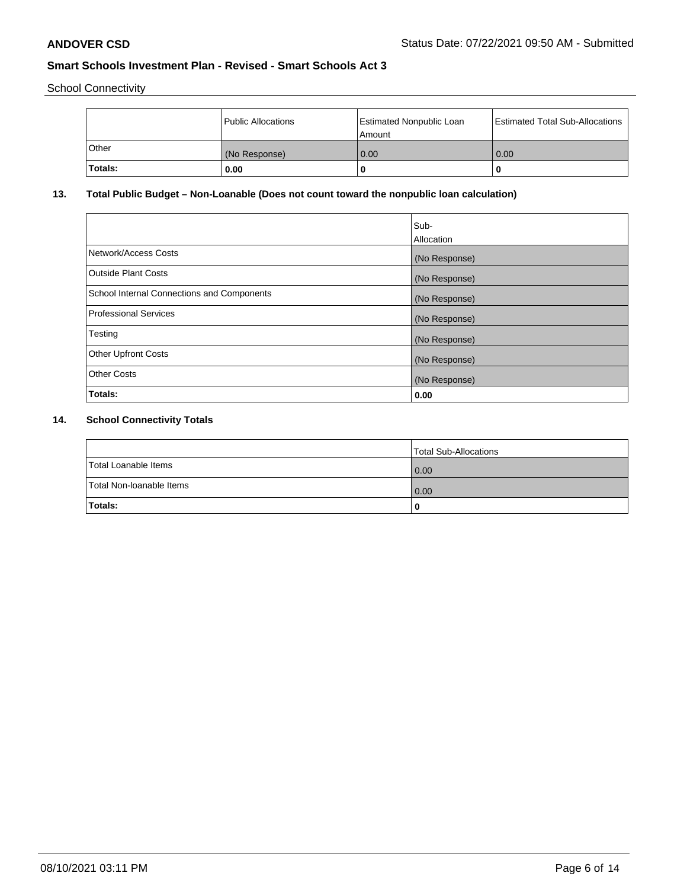School Connectivity

|         | Public Allocations | <b>Estimated Nonpublic Loan</b><br>Amount | <b>Estimated Total Sub-Allocations</b> |
|---------|--------------------|-------------------------------------------|----------------------------------------|
| l Other | (No Response)      | 0.00                                      | 0.00                                   |
| Totals: | 0.00               | 0                                         |                                        |

# **13. Total Public Budget – Non-Loanable (Does not count toward the nonpublic loan calculation)**

|                                                   | Sub-<br>Allocation |
|---------------------------------------------------|--------------------|
| Network/Access Costs                              | (No Response)      |
| <b>Outside Plant Costs</b>                        | (No Response)      |
| <b>School Internal Connections and Components</b> | (No Response)      |
| Professional Services                             | (No Response)      |
| Testing                                           | (No Response)      |
| <b>Other Upfront Costs</b>                        | (No Response)      |
| <b>Other Costs</b>                                | (No Response)      |
| <b>Totals:</b>                                    | 0.00               |

# **14. School Connectivity Totals**

|                          | Total Sub-Allocations |
|--------------------------|-----------------------|
| Total Loanable Items     | 0.00                  |
| Total Non-Ioanable Items | 0.00                  |
| Totals:                  | 0                     |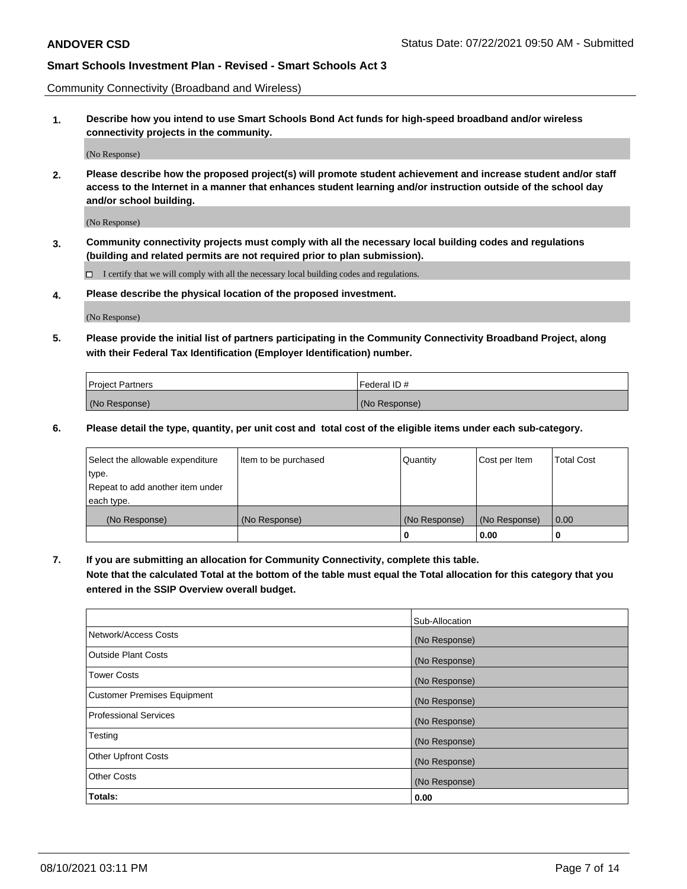Community Connectivity (Broadband and Wireless)

**1. Describe how you intend to use Smart Schools Bond Act funds for high-speed broadband and/or wireless connectivity projects in the community.**

(No Response)

**2. Please describe how the proposed project(s) will promote student achievement and increase student and/or staff access to the Internet in a manner that enhances student learning and/or instruction outside of the school day and/or school building.**

(No Response)

**3. Community connectivity projects must comply with all the necessary local building codes and regulations (building and related permits are not required prior to plan submission).**

 $\Box$  I certify that we will comply with all the necessary local building codes and regulations.

**4. Please describe the physical location of the proposed investment.**

(No Response)

**5. Please provide the initial list of partners participating in the Community Connectivity Broadband Project, along with their Federal Tax Identification (Employer Identification) number.**

| <b>Project Partners</b> | l Federal ID # |
|-------------------------|----------------|
| (No Response)           | (No Response)  |

**6. Please detail the type, quantity, per unit cost and total cost of the eligible items under each sub-category.**

| Select the allowable expenditure | Item to be purchased | Quantity      | Cost per Item | <b>Total Cost</b> |
|----------------------------------|----------------------|---------------|---------------|-------------------|
| type.                            |                      |               |               |                   |
| Repeat to add another item under |                      |               |               |                   |
| each type.                       |                      |               |               |                   |
| (No Response)                    | (No Response)        | (No Response) | (No Response) | 0.00              |
|                                  |                      | o             | 0.00          |                   |

**7. If you are submitting an allocation for Community Connectivity, complete this table.**

**Note that the calculated Total at the bottom of the table must equal the Total allocation for this category that you entered in the SSIP Overview overall budget.**

|                                    | Sub-Allocation |
|------------------------------------|----------------|
| Network/Access Costs               | (No Response)  |
| Outside Plant Costs                | (No Response)  |
| <b>Tower Costs</b>                 | (No Response)  |
| <b>Customer Premises Equipment</b> | (No Response)  |
| <b>Professional Services</b>       | (No Response)  |
| Testing                            | (No Response)  |
| <b>Other Upfront Costs</b>         | (No Response)  |
| <b>Other Costs</b>                 | (No Response)  |
| Totals:                            | 0.00           |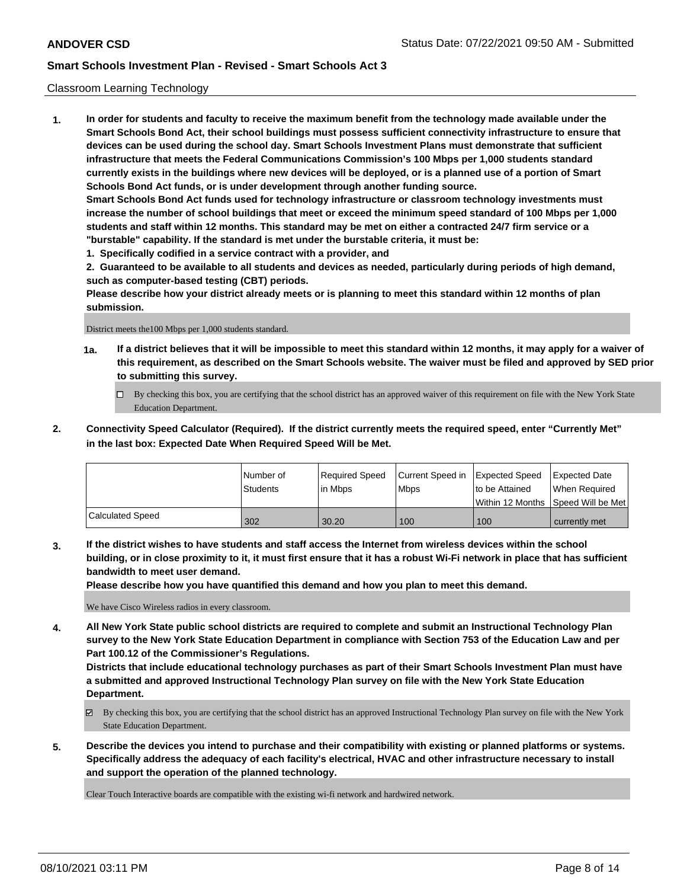### Classroom Learning Technology

**1. In order for students and faculty to receive the maximum benefit from the technology made available under the Smart Schools Bond Act, their school buildings must possess sufficient connectivity infrastructure to ensure that devices can be used during the school day. Smart Schools Investment Plans must demonstrate that sufficient infrastructure that meets the Federal Communications Commission's 100 Mbps per 1,000 students standard currently exists in the buildings where new devices will be deployed, or is a planned use of a portion of Smart Schools Bond Act funds, or is under development through another funding source. Smart Schools Bond Act funds used for technology infrastructure or classroom technology investments must increase the number of school buildings that meet or exceed the minimum speed standard of 100 Mbps per 1,000 students and staff within 12 months. This standard may be met on either a contracted 24/7 firm service or a "burstable" capability. If the standard is met under the burstable criteria, it must be:**

**1. Specifically codified in a service contract with a provider, and**

**2. Guaranteed to be available to all students and devices as needed, particularly during periods of high demand, such as computer-based testing (CBT) periods.**

**Please describe how your district already meets or is planning to meet this standard within 12 months of plan submission.**

District meets the100 Mbps per 1,000 students standard.

- **1a. If a district believes that it will be impossible to meet this standard within 12 months, it may apply for a waiver of this requirement, as described on the Smart Schools website. The waiver must be filed and approved by SED prior to submitting this survey.**
	- By checking this box, you are certifying that the school district has an approved waiver of this requirement on file with the New York State Education Department.
- **2. Connectivity Speed Calculator (Required). If the district currently meets the required speed, enter "Currently Met" in the last box: Expected Date When Required Speed Will be Met.**

|                         | l Number of     | Required Speed | Current Speed in | Expected Speed | Expected Date                        |
|-------------------------|-----------------|----------------|------------------|----------------|--------------------------------------|
|                         | <b>Students</b> | l in Mbps      | l Mbps           | to be Attained | When Required                        |
|                         |                 |                |                  |                | Within 12 Months 1Speed Will be Met1 |
| <b>Calculated Speed</b> | 302             | 30.20          | 100              | 100            | currently met                        |

**3. If the district wishes to have students and staff access the Internet from wireless devices within the school building, or in close proximity to it, it must first ensure that it has a robust Wi-Fi network in place that has sufficient bandwidth to meet user demand.**

**Please describe how you have quantified this demand and how you plan to meet this demand.**

We have Cisco Wireless radios in every classroom.

**4. All New York State public school districts are required to complete and submit an Instructional Technology Plan survey to the New York State Education Department in compliance with Section 753 of the Education Law and per Part 100.12 of the Commissioner's Regulations.**

**Districts that include educational technology purchases as part of their Smart Schools Investment Plan must have a submitted and approved Instructional Technology Plan survey on file with the New York State Education Department.**

- By checking this box, you are certifying that the school district has an approved Instructional Technology Plan survey on file with the New York State Education Department.
- **5. Describe the devices you intend to purchase and their compatibility with existing or planned platforms or systems. Specifically address the adequacy of each facility's electrical, HVAC and other infrastructure necessary to install and support the operation of the planned technology.**

Clear Touch Interactive boards are compatible with the existing wi-fi network and hardwired network.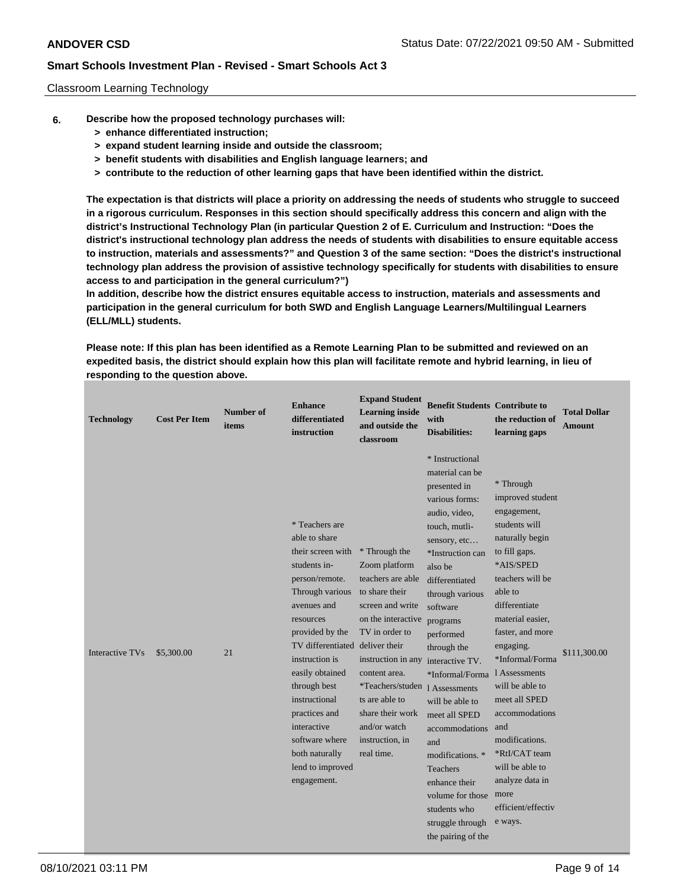### Classroom Learning Technology

- **6. Describe how the proposed technology purchases will:**
	- **> enhance differentiated instruction;**
	- **> expand student learning inside and outside the classroom;**
	- **> benefit students with disabilities and English language learners; and**
	- **> contribute to the reduction of other learning gaps that have been identified within the district.**

**The expectation is that districts will place a priority on addressing the needs of students who struggle to succeed in a rigorous curriculum. Responses in this section should specifically address this concern and align with the district's Instructional Technology Plan (in particular Question 2 of E. Curriculum and Instruction: "Does the district's instructional technology plan address the needs of students with disabilities to ensure equitable access to instruction, materials and assessments?" and Question 3 of the same section: "Does the district's instructional technology plan address the provision of assistive technology specifically for students with disabilities to ensure access to and participation in the general curriculum?")**

**In addition, describe how the district ensures equitable access to instruction, materials and assessments and participation in the general curriculum for both SWD and English Language Learners/Multilingual Learners (ELL/MLL) students.**

**Please note: If this plan has been identified as a Remote Learning Plan to be submitted and reviewed on an expedited basis, the district should explain how this plan will facilitate remote and hybrid learning, in lieu of responding to the question above.**

| <b>Technology</b> | <b>Cost Per Item</b> | Number of<br>items | <b>Enhance</b><br>differentiated<br>instruction                                                                                                                                                                                                                                                                                                                          | <b>Expand Student</b><br><b>Learning inside</b><br>and outside the<br>classroom                                                                                                                                                                                                                                   | <b>Benefit Students Contribute to</b><br>with<br><b>Disabilities:</b>                                                                                                                                                                                                                                                                                                                                                                                                | the reduction of<br>learning gaps                                                                                                                                                                                                                                                                                                                                                                                                      | <b>Total Dollar</b><br><b>Amount</b> |
|-------------------|----------------------|--------------------|--------------------------------------------------------------------------------------------------------------------------------------------------------------------------------------------------------------------------------------------------------------------------------------------------------------------------------------------------------------------------|-------------------------------------------------------------------------------------------------------------------------------------------------------------------------------------------------------------------------------------------------------------------------------------------------------------------|----------------------------------------------------------------------------------------------------------------------------------------------------------------------------------------------------------------------------------------------------------------------------------------------------------------------------------------------------------------------------------------------------------------------------------------------------------------------|----------------------------------------------------------------------------------------------------------------------------------------------------------------------------------------------------------------------------------------------------------------------------------------------------------------------------------------------------------------------------------------------------------------------------------------|--------------------------------------|
| Interactive TVs   | \$5,300.00           | 21                 | * Teachers are<br>able to share<br>their screen with<br>students in-<br>person/remote.<br>Through various<br>avenues and<br>resources<br>provided by the<br>TV differentiated deliver their<br>instruction is<br>easily obtained<br>through best<br>instructional<br>practices and<br>interactive<br>software where<br>both naturally<br>lend to improved<br>engagement. | * Through the<br>Zoom platform<br>teachers are able<br>to share their<br>screen and write<br>on the interactive<br>TV in order to<br>instruction in any interactive TV.<br>content area.<br>*Teachers/studen 1 Assessments<br>ts are able to<br>share their work<br>and/or watch<br>instruction, in<br>real time. | * Instructional<br>material can be<br>presented in<br>various forms:<br>audio, video,<br>touch, mutli-<br>sensory, etc<br>*Instruction can<br>also be<br>differentiated<br>through various<br>software<br>programs<br>performed<br>through the<br>*Informal/Forma<br>will be able to<br>meet all SPED<br>accommodations<br>and<br>modifications. *<br><b>Teachers</b><br>enhance their<br>volume for those<br>students who<br>struggle through<br>the pairing of the | * Through<br>improved student<br>engagement,<br>students will<br>naturally begin<br>to fill gaps.<br>*AIS/SPED<br>teachers will be<br>able to<br>differentiate<br>material easier,<br>faster, and more<br>engaging.<br>*Informal/Forma<br>1 Assessments<br>will be able to<br>meet all SPED<br>accommodations<br>and<br>modifications.<br>*RtI/CAT team<br>will be able to<br>analyze data in<br>more<br>efficient/effectiv<br>e ways. | \$111,300.00                         |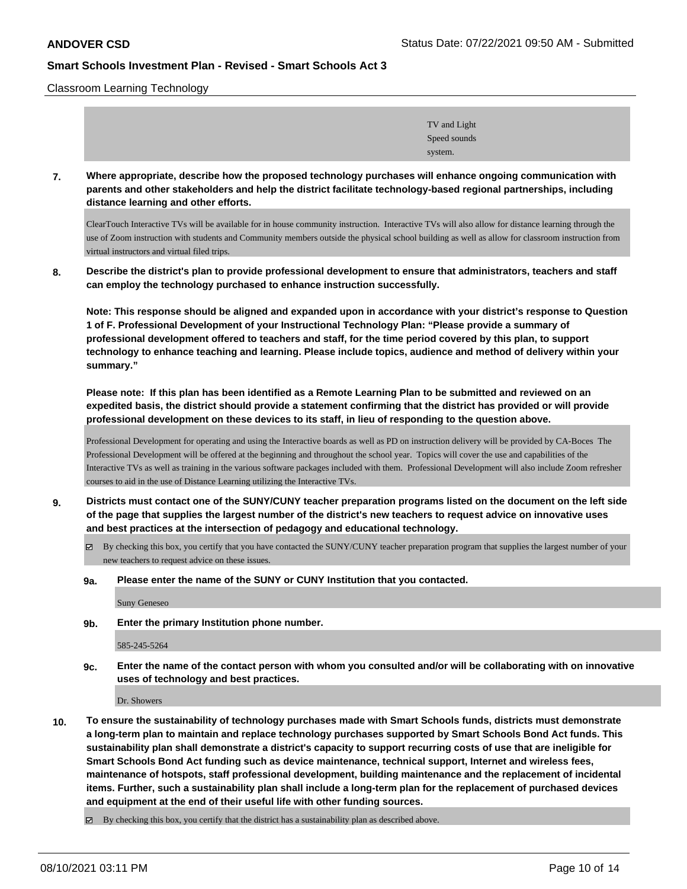Classroom Learning Technology

| TV and Light |  |
|--------------|--|
| Speed sounds |  |
| system.      |  |

**7. Where appropriate, describe how the proposed technology purchases will enhance ongoing communication with parents and other stakeholders and help the district facilitate technology-based regional partnerships, including distance learning and other efforts.**

ClearTouch Interactive TVs will be available for in house community instruction. Interactive TVs will also allow for distance learning through the use of Zoom instruction with students and Community members outside the physical school building as well as allow for classroom instruction from virtual instructors and virtual filed trips.

**8. Describe the district's plan to provide professional development to ensure that administrators, teachers and staff can employ the technology purchased to enhance instruction successfully.**

**Note: This response should be aligned and expanded upon in accordance with your district's response to Question 1 of F. Professional Development of your Instructional Technology Plan: "Please provide a summary of professional development offered to teachers and staff, for the time period covered by this plan, to support technology to enhance teaching and learning. Please include topics, audience and method of delivery within your summary."**

**Please note: If this plan has been identified as a Remote Learning Plan to be submitted and reviewed on an expedited basis, the district should provide a statement confirming that the district has provided or will provide professional development on these devices to its staff, in lieu of responding to the question above.**

Professional Development for operating and using the Interactive boards as well as PD on instruction delivery will be provided by CA-Boces The Professional Development will be offered at the beginning and throughout the school year. Topics will cover the use and capabilities of the Interactive TVs as well as training in the various software packages included with them. Professional Development will also include Zoom refresher courses to aid in the use of Distance Learning utilizing the Interactive TVs.

- **9. Districts must contact one of the SUNY/CUNY teacher preparation programs listed on the document on the left side of the page that supplies the largest number of the district's new teachers to request advice on innovative uses and best practices at the intersection of pedagogy and educational technology.**
	- By checking this box, you certify that you have contacted the SUNY/CUNY teacher preparation program that supplies the largest number of your new teachers to request advice on these issues.
	- **9a. Please enter the name of the SUNY or CUNY Institution that you contacted.**

Suny Geneseo

**9b. Enter the primary Institution phone number.**

585-245-5264

**9c. Enter the name of the contact person with whom you consulted and/or will be collaborating with on innovative uses of technology and best practices.**

Dr. Showers

- **10. To ensure the sustainability of technology purchases made with Smart Schools funds, districts must demonstrate a long-term plan to maintain and replace technology purchases supported by Smart Schools Bond Act funds. This sustainability plan shall demonstrate a district's capacity to support recurring costs of use that are ineligible for Smart Schools Bond Act funding such as device maintenance, technical support, Internet and wireless fees, maintenance of hotspots, staff professional development, building maintenance and the replacement of incidental items. Further, such a sustainability plan shall include a long-term plan for the replacement of purchased devices and equipment at the end of their useful life with other funding sources.**
	- By checking this box, you certify that the district has a sustainability plan as described above.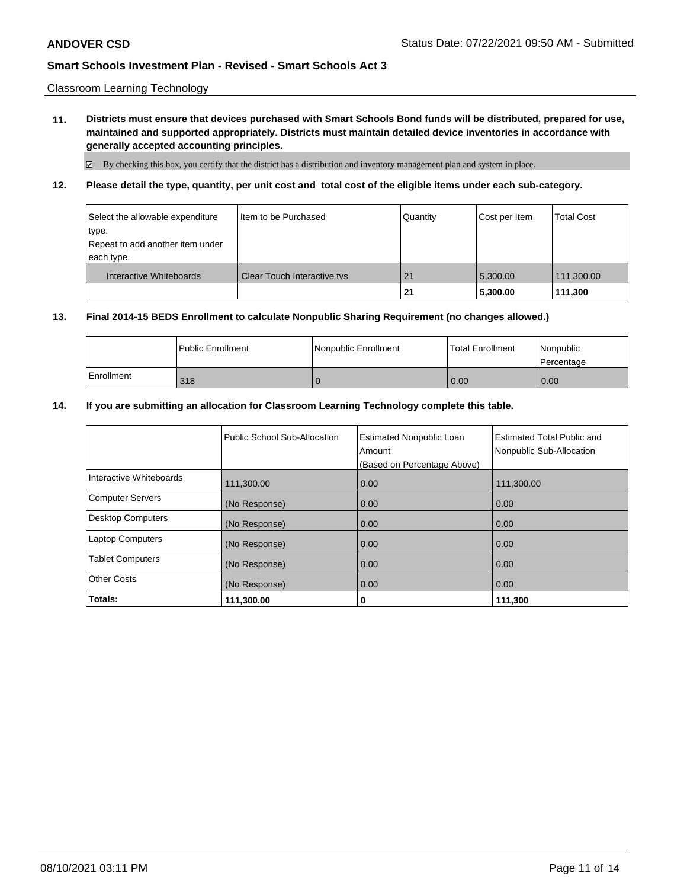Classroom Learning Technology

**11. Districts must ensure that devices purchased with Smart Schools Bond funds will be distributed, prepared for use, maintained and supported appropriately. Districts must maintain detailed device inventories in accordance with generally accepted accounting principles.**

By checking this box, you certify that the district has a distribution and inventory management plan and system in place.

**12. Please detail the type, quantity, per unit cost and total cost of the eligible items under each sub-category.**

| Select the allowable expenditure<br>∣type.<br>Repeat to add another item under<br>each type. | Item to be Purchased               | Quantity | Cost per Item | <b>Total Cost</b> |
|----------------------------------------------------------------------------------------------|------------------------------------|----------|---------------|-------------------|
| Interactive Whiteboards                                                                      | <b>Clear Touch Interactive tys</b> | 21       | 5.300.00      | 111,300.00        |
|                                                                                              |                                    | 21       | 5,300.00      | 111.300           |

### **13. Final 2014-15 BEDS Enrollment to calculate Nonpublic Sharing Requirement (no changes allowed.)**

|            | l Public Enrollment | l Nonpublic Enrollment | <b>Total Enrollment</b> | Nonpublic<br>l Percentage |
|------------|---------------------|------------------------|-------------------------|---------------------------|
| Enrollment | 318                 |                        | 0.00                    | 0.00                      |

### **14. If you are submitting an allocation for Classroom Learning Technology complete this table.**

|                          | Public School Sub-Allocation | <b>Estimated Nonpublic Loan</b><br>Amount<br>(Based on Percentage Above) | <b>Estimated Total Public and</b><br>Nonpublic Sub-Allocation |
|--------------------------|------------------------------|--------------------------------------------------------------------------|---------------------------------------------------------------|
| Interactive Whiteboards  | 111,300.00                   | 0.00                                                                     | 111,300.00                                                    |
| <b>Computer Servers</b>  | (No Response)                | 0.00                                                                     | 0.00                                                          |
| <b>Desktop Computers</b> | (No Response)                | 0.00                                                                     | 0.00                                                          |
| <b>Laptop Computers</b>  | (No Response)                | 0.00                                                                     | 0.00                                                          |
| <b>Tablet Computers</b>  | (No Response)                | 0.00                                                                     | 0.00                                                          |
| <b>Other Costs</b>       | (No Response)                | 0.00                                                                     | 0.00                                                          |
| Totals:                  | 111,300.00                   | 0                                                                        | 111,300                                                       |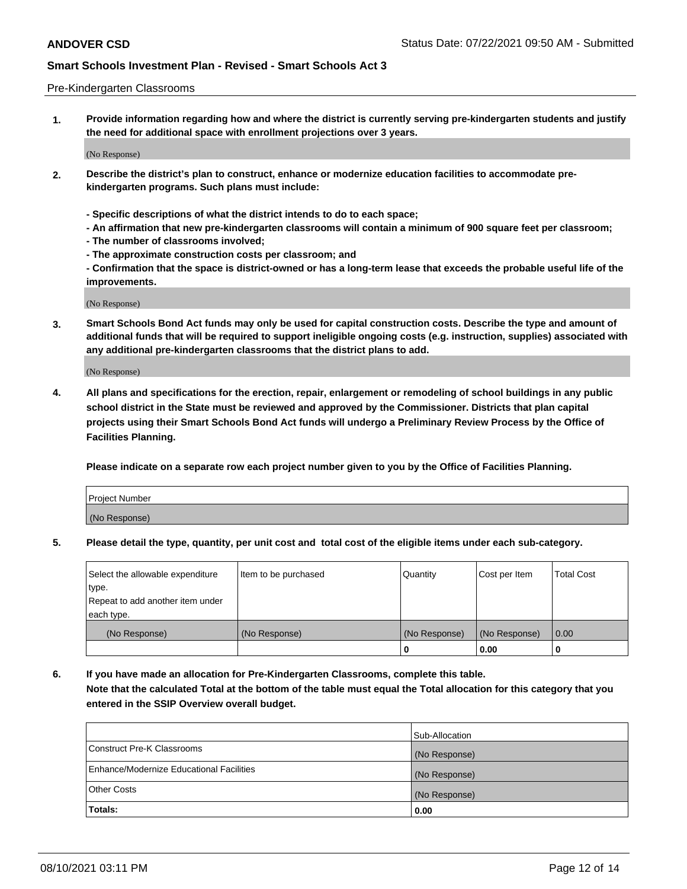#### Pre-Kindergarten Classrooms

**1. Provide information regarding how and where the district is currently serving pre-kindergarten students and justify the need for additional space with enrollment projections over 3 years.**

(No Response)

- **2. Describe the district's plan to construct, enhance or modernize education facilities to accommodate prekindergarten programs. Such plans must include:**
	- **Specific descriptions of what the district intends to do to each space;**
	- **An affirmation that new pre-kindergarten classrooms will contain a minimum of 900 square feet per classroom;**
	- **The number of classrooms involved;**
	- **The approximate construction costs per classroom; and**
	- **Confirmation that the space is district-owned or has a long-term lease that exceeds the probable useful life of the improvements.**

(No Response)

**3. Smart Schools Bond Act funds may only be used for capital construction costs. Describe the type and amount of additional funds that will be required to support ineligible ongoing costs (e.g. instruction, supplies) associated with any additional pre-kindergarten classrooms that the district plans to add.**

(No Response)

**4. All plans and specifications for the erection, repair, enlargement or remodeling of school buildings in any public school district in the State must be reviewed and approved by the Commissioner. Districts that plan capital projects using their Smart Schools Bond Act funds will undergo a Preliminary Review Process by the Office of Facilities Planning.**

**Please indicate on a separate row each project number given to you by the Office of Facilities Planning.**

| Project Number |  |
|----------------|--|
| (No Response)  |  |
|                |  |

**5. Please detail the type, quantity, per unit cost and total cost of the eligible items under each sub-category.**

| Select the allowable expenditure | Item to be purchased | Quantity      | Cost per Item | <b>Total Cost</b> |
|----------------------------------|----------------------|---------------|---------------|-------------------|
| type.                            |                      |               |               |                   |
| Repeat to add another item under |                      |               |               |                   |
| each type.                       |                      |               |               |                   |
| (No Response)                    | (No Response)        | (No Response) | (No Response) | 0.00              |
|                                  |                      | U             | 0.00          |                   |

**6. If you have made an allocation for Pre-Kindergarten Classrooms, complete this table. Note that the calculated Total at the bottom of the table must equal the Total allocation for this category that you entered in the SSIP Overview overall budget.**

|                                          | Sub-Allocation |
|------------------------------------------|----------------|
| Construct Pre-K Classrooms               | (No Response)  |
| Enhance/Modernize Educational Facilities | (No Response)  |
| <b>Other Costs</b>                       | (No Response)  |
| Totals:                                  | 0.00           |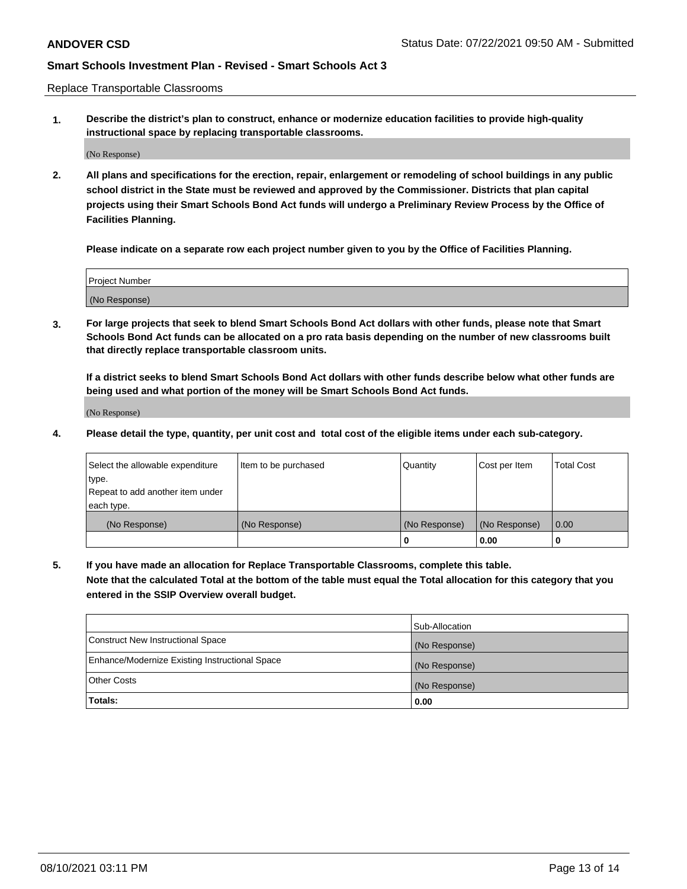Replace Transportable Classrooms

**1. Describe the district's plan to construct, enhance or modernize education facilities to provide high-quality instructional space by replacing transportable classrooms.**

(No Response)

**2. All plans and specifications for the erection, repair, enlargement or remodeling of school buildings in any public school district in the State must be reviewed and approved by the Commissioner. Districts that plan capital projects using their Smart Schools Bond Act funds will undergo a Preliminary Review Process by the Office of Facilities Planning.**

**Please indicate on a separate row each project number given to you by the Office of Facilities Planning.**

| Project Number |  |
|----------------|--|
|                |  |
|                |  |
|                |  |
| (No Response)  |  |
|                |  |
|                |  |

**3. For large projects that seek to blend Smart Schools Bond Act dollars with other funds, please note that Smart Schools Bond Act funds can be allocated on a pro rata basis depending on the number of new classrooms built that directly replace transportable classroom units.**

**If a district seeks to blend Smart Schools Bond Act dollars with other funds describe below what other funds are being used and what portion of the money will be Smart Schools Bond Act funds.**

(No Response)

**4. Please detail the type, quantity, per unit cost and total cost of the eligible items under each sub-category.**

| Select the allowable expenditure | Item to be purchased | Quantity      | Cost per Item | Total Cost |
|----------------------------------|----------------------|---------------|---------------|------------|
| ∣type.                           |                      |               |               |            |
| Repeat to add another item under |                      |               |               |            |
| each type.                       |                      |               |               |            |
| (No Response)                    | (No Response)        | (No Response) | (No Response) | 0.00       |
|                                  |                      | u             | 0.00          |            |

**5. If you have made an allocation for Replace Transportable Classrooms, complete this table. Note that the calculated Total at the bottom of the table must equal the Total allocation for this category that you entered in the SSIP Overview overall budget.**

|                                                | Sub-Allocation |
|------------------------------------------------|----------------|
| Construct New Instructional Space              | (No Response)  |
| Enhance/Modernize Existing Instructional Space | (No Response)  |
| Other Costs                                    | (No Response)  |
| Totals:                                        | 0.00           |